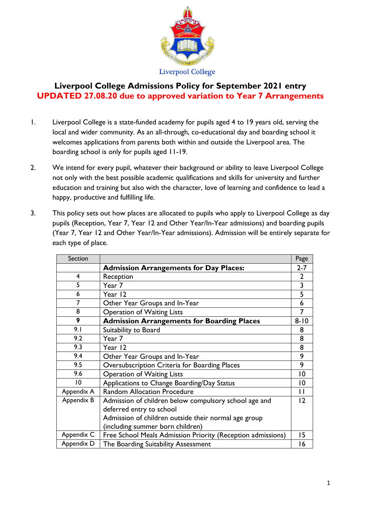

# **Liverpool College Admissions Policy for September 2021 entry UPDATED 27.08.20 due to approved variation to Year 7 Arrangements**

- 1. Liverpool College is a state-funded academy for pupils aged 4 to 19 years old, serving the local and wider community. As an all-through, co-educational day and boarding school it welcomes applications from parents both within and outside the Liverpool area. The boarding school is only for pupils aged 11-19.
- 2. We intend for every pupil, whatever their background or ability to leave Liverpool College not only with the best possible academic qualifications and skills for university and further education and training but also with the character, love of learning and confidence to lead a happy, productive and fulfilling life.
- 3. This policy sets out how places are allocated to pupils who apply to Liverpool College as day pupils (Reception, Year 7, Year 12 and Other Year/In-Year admissions) and boarding pupils (Year 7, Year 12 and Other Year/In-Year admissions). Admission will be entirely separate for each type of place.

| Section    |                                                             | Page            |
|------------|-------------------------------------------------------------|-----------------|
|            | <b>Admission Arrangements for Day Places:</b>               | $2 - 7$         |
| 4          | Reception                                                   | $\overline{2}$  |
| 5          | Year 7                                                      | 3               |
| 6          | Year 12                                                     | 5               |
| 7          | Other Year Groups and In-Year                               | 6               |
| 8          | <b>Operation of Waiting Lists</b>                           | 7               |
| 9          | <b>Admission Arrangements for Boarding Places</b>           | $8 - 10$        |
| 9.1        | Suitability to Board                                        | 8               |
| 9.2        | Year 7                                                      | 8               |
| 9.3        | Year 12                                                     | 8               |
| 9.4        | Other Year Groups and In-Year                               | 9               |
| 9.5        | Oversubscription Criteria for Boarding Places               | 9               |
| 9.6        | <b>Operation of Waiting Lists</b>                           | $ 0\rangle$     |
| 10         | Applications to Change Boarding/Day Status                  | $\overline{10}$ |
| Appendix A | <b>Random Allocation Procedure</b>                          | $\mathbf{H}$    |
| Appendix B | Admission of children below compulsory school age and       | $\overline{2}$  |
|            | deferred entry to school                                    |                 |
|            | Admission of children outside their normal age group        |                 |
|            | (including summer born children)                            |                 |
| Appendix C | Free School Meals Admission Priority (Reception admissions) | 15              |
| Appendix D | The Boarding Suitability Assessment                         | 16              |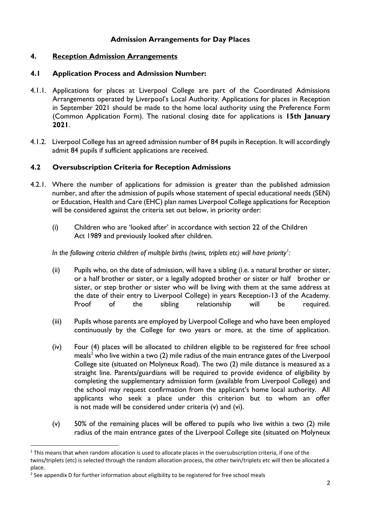#### **Admission Arrangements for Day Places**

#### **4. Reception Admission Arrangements**

#### **4.1 Application Process and Admission Number:**

- 4.1.1. Applications for places at Liverpool College are part of the Coordinated Admissions Arrangements operated by Liverpool's Local Authority. Applications for places in Reception in September 2021 should be made to the home local authority using the Preference Form (Common Application Form). The national closing date for applications is **15th January 2021**.
- 4.1.2. Liverpool College has an agreed admission number of 84 pupils in Reception. It will accordingly admit 84 pupils if sufficient applications are received.

#### **4.2 Oversubscription Criteria for Reception Admissions**

- 4.2.1. Where the number of applications for admission is greater than the published admission number, and after the admission of pupils whose statement of special educational needs (SEN) or Education, Health and Care (EHC) plan names Liverpool College applications for Reception will be considered against the criteria set out below, in priority order:
	- (i) Children who are 'looked after' in accordance with section 22 of the Children Act 1989 and previously looked after children.

*In the following criteria children of multiple births (twins, triplets etc) will have priority<sup>1</sup> :*

- (ii) Pupils who, on the date of admission, will have a sibling (i.e. a natural brother or sister, or a half brother or sister, or a legally adopted brother or sister or half brother or sister, or step brother or sister who will be living with them at the same address at the date of their entry to Liverpool College) in years Reception-13 of the Academy. Proof of the sibling relationship will be required.
- (iii) Pupils whose parents are employed by Liverpool College and who have been employed continuously by the College for two years or more, at the time of application.
- (iv) Four (4) places will be allocated to children eligible to be registered for free school meals<sup>2</sup> who live within a two  $(2)$  mile radius of the main entrance gates of the Liverpool College site (situated on Molyneux Road). The two (2) mile distance is measured as a straight line. Parents/guardians will be required to provide evidence of eligibility by completing the supplementary admission form (available from Liverpool College) and the school may request confirmation from the applicant's home local authority. All applicants who seek a place under this criterion but to whom an offer is not made will be considered under criteria (v) and (vi).
- (v) 50% of the remaining places will be offered to pupils who live within a two (2) mile radius of the main entrance gates of the Liverpool College site (situated on Molyneux

 $\ddot{\phantom{a}}$ 

 $1$  This means that when random allocation is used to allocate places in the oversubscription criteria, if one of the twins/triplets (etc) is selected through the random allocation process, the other twin/triplets etc will then be allocated a place.

 $2$  See appendix D for further information about eligibility to be registered for free school meals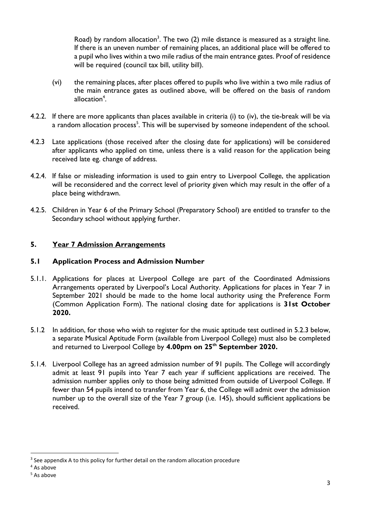Road) by random allocation<sup>3</sup>. The two  $(2)$  mile distance is measured as a straight line. If there is an uneven number of remaining places, an additional place will be offered to a pupil who lives within a two mile radius of the main entrance gates. Proof of residence will be required (council tax bill, utility bill).

- (vi) the remaining places, after places offered to pupils who live within a two mile radius of the main entrance gates as outlined above, will be offered on the basis of random allocation<sup>4</sup>.
- 4.2.2. If there are more applicants than places available in criteria (i) to (iv), the tie-break will be via a random allocation process<sup>5</sup>. This will be supervised by someone independent of the school.
- 4.2.3 Late applications (those received after the closing date for applications) will be considered after applicants who applied on time, unless there is a valid reason for the application being received late eg. change of address.
- 4.2.4. If false or misleading information is used to gain entry to Liverpool College, the application will be reconsidered and the correct level of priority given which may result in the offer of a place being withdrawn.
- 4.2.5. Children in Year 6 of the Primary School (Preparatory School) are entitled to transfer to the Secondary school without applying further.

# **5. Year 7 Admission Arrangements**

## **5.1 Application Process and Admission Number**

- 5.1.1. Applications for places at Liverpool College are part of the Coordinated Admissions Arrangements operated by Liverpool's Local Authority. Applications for places in Year 7 in September 2021 should be made to the home local authority using the Preference Form (Common Application Form). The national closing date for applications is **31st October 2020.**
- 5.1.2 In addition, for those who wish to register for the music aptitude test outlined in 5.2.3 below, a separate Musical Aptitude Form (available from Liverpool College) must also be completed and returned to Liverpool College by **4.00pm on 25 th September 2020.**
- 5.1.4. Liverpool College has an agreed admission number of 91 pupils. The College will accordingly admit at least 91 pupils into Year 7 each year if sufficient applications are received. The admission number applies only to those being admitted from outside of Liverpool College. If fewer than 54 pupils intend to transfer from Year 6, the College will admit over the admission number up to the overall size of the Year 7 group (i.e. 145), should sufficient applications be received.

<sup>&</sup>lt;sup>3</sup> See appendix A to this policy for further detail on the random allocation procedure

<sup>4</sup> As above

<sup>5</sup> As above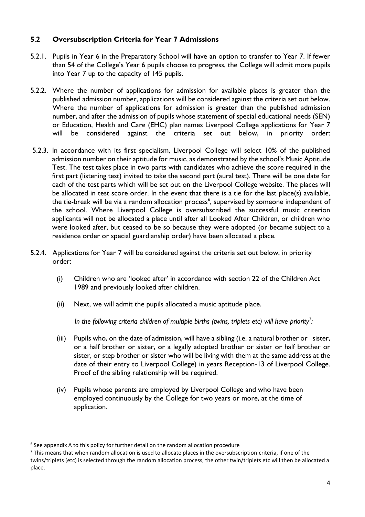#### **5**.**2 Oversubscription Criteria for Year 7 Admissions**

- 5.2.1. Pupils in Year 6 in the Preparatory School will have an option to transfer to Year 7. If fewer than 54 of the College's Year 6 pupils choose to progress, the College will admit more pupils into Year 7 up to the capacity of 145 pupils.
- 5.2.2. Where the number of applications for admission for available places is greater than the published admission number, applications will be considered against the criteria set out below. Where the number of applications for admission is greater than the published admission number, and after the admission of pupils whose statement of special educational needs (SEN) or Education, Health and Care (EHC) plan names Liverpool College applications for Year 7 will be considered against the criteria set out below, in priority order:
- 5.2.3. In accordance with its first specialism, Liverpool College will select 10% of the published admission number on their aptitude for music, as demonstrated by the school's Music Aptitude Test. The test takes place in two parts with candidates who achieve the score required in the first part (listening test) invited to take the second part (aural test). There will be one date for each of the test parts which will be set out on the Liverpool College website. The places will be allocated in test score order. In the event that there is a tie for the last place(s) available, the tie-break will be via a random allocation process<sup>6</sup>, supervised by someone independent of the school. Where Liverpool College is oversubscribed the successful music criterion applicants will not be allocated a place until after all Looked After Children, or children who were looked after, but ceased to be so because they were adopted (or became subject to a residence order or special guardianship order) have been allocated a place.
- 5.2.4. Applications for Year 7 will be considered against the criteria set out below, in priority order:
	- (i) Children who are 'looked after' in accordance with section 22 of the Children Act 1989 and previously looked after children.
	- (ii) Next, we will admit the pupils allocated a music aptitude place.

*In the following criteria children of multiple births (twins, triplets etc) will have priority<sup>7</sup> :*

- (iii) Pupils who, on the date of admission, will have a sibling (i.e. a natural brother or sister, or a half brother or sister, or a legally adopted brother or sister or half brother or sister, or step brother or sister who will be living with them at the same address at the date of their entry to Liverpool College) in years Reception-13 of Liverpool College. Proof of the sibling relationship will be required.
- (iv) Pupils whose parents are employed by Liverpool College and who have been employed continuously by the College for two years or more, at the time of application.

<sup>&</sup>lt;sup>6</sup> See appendix A to this policy for further detail on the random allocation procedure

 $7$  This means that when random allocation is used to allocate places in the oversubscription criteria, if one of the twins/triplets (etc) is selected through the random allocation process, the other twin/triplets etc will then be allocated a place.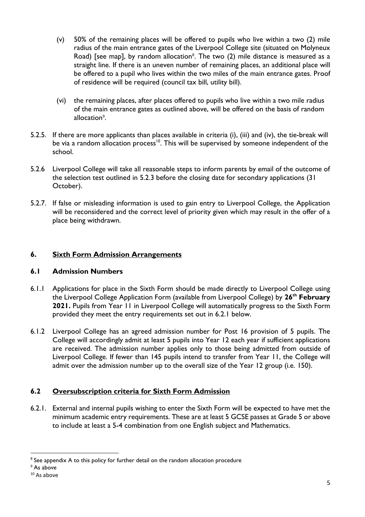- (v) 50% of the remaining places will be offered to pupils who live within a two (2) mile radius of the main entrance gates of the Liverpool College site (situated on Molyneux Road) [see map], by random allocation<sup>8</sup>. The two  $(2)$  mile distance is measured as a straight line. If there is an uneven number of remaining places, an additional place will be offered to a pupil who lives within the two miles of the main entrance gates. Proof of residence will be required (council tax bill, utility bill).
- (vi) the remaining places, after places offered to pupils who live within a two mile radius of the main entrance gates as outlined above, will be offered on the basis of random allocation<sup>9</sup>.
- 5.2.5. If there are more applicants than places available in criteria (i), (iii) and (iv), the tie-break will be via a random allocation process<sup>10</sup>. This will be supervised by someone independent of the school.
- 5.2.6 Liverpool College will take all reasonable steps to inform parents by email of the outcome of the selection test outlined in 5.2.3 before the closing date for secondary applications (31 October).
- 5.2.7. If false or misleading information is used to gain entry to Liverpool College, the Application will be reconsidered and the correct level of priority given which may result in the offer of a place being withdrawn.

## **6. Sixth Form Admission Arrangements**

## **6.1 Admission Numbers**

- 6.1.1 Applications for place in the Sixth Form should be made directly to Liverpool College using the Liverpool College Application Form (available from Liverpool College) by **26 th February 2021.** Pupils from Year 11 in Liverpool College will automatically progress to the Sixth Form provided they meet the entry requirements set out in 6.2.1 below.
- 6.1.2 Liverpool College has an agreed admission number for Post 16 provision of 5 pupils. The College will accordingly admit at least 5 pupils into Year 12 each year if sufficient applications are received. The admission number applies only to those being admitted from outside of Liverpool College. If fewer than 145 pupils intend to transfer from Year 11, the College will admit over the admission number up to the overall size of the Year 12 group (i.e. 150).

# **6.2 Oversubscription criteria for Sixth Form Admission**

6.2.1. External and internal pupils wishing to enter the Sixth Form will be expected to have met the minimum academic entry requirements. These are at least 5 GCSE passes at Grade 5 or above to include at least a 5-4 combination from one English subject and Mathematics.

 $\overline{a}$ <sup>8</sup> See appendix A to this policy for further detail on the random allocation procedure

<sup>9</sup> As above

<sup>&</sup>lt;sup>10</sup> As above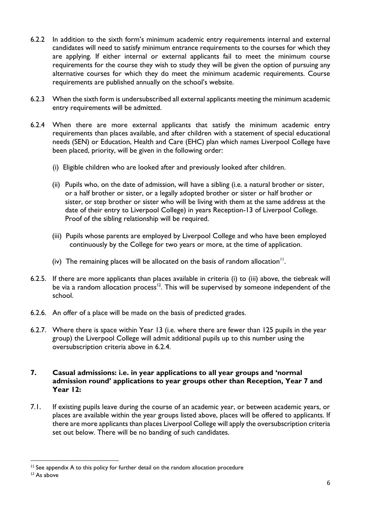- 6.2.2 In addition to the sixth form's minimum academic entry requirements internal and external candidates will need to satisfy minimum entrance requirements to the courses for which they are applying. If either internal or external applicants fail to meet the minimum course requirements for the course they wish to study they will be given the option of pursuing any alternative courses for which they do meet the minimum academic requirements. Course requirements are published annually on the school's website.
- 6.2.3 When the sixth form is undersubscribed all external applicants meeting the minimum academic entry requirements will be admitted.
- 6.2.4 When there are more external applicants that satisfy the minimum academic entry requirements than places available, and after children with a statement of special educational needs (SEN) or Education, Health and Care (EHC) plan which names Liverpool College have been placed, priority, will be given in the following order:
	- (i) Eligible children who are looked after and previously looked after children.
	- (ii) Pupils who, on the date of admission, will have a sibling (i.e. a natural brother or sister, or a half brother or sister, or a legally adopted brother or sister or half brother or sister, or step brother or sister who will be living with them at the same address at the date of their entry to Liverpool College) in years Reception-13 of Liverpool College. Proof of the sibling relationship will be required.
	- (iii) Pupils whose parents are employed by Liverpool College and who have been employed continuously by the College for two years or more, at the time of application.
	- (iv) The remaining places will be allocated on the basis of random allocation $11$ .
- 6.2.5. If there are more applicants than places available in criteria (i) to (iii) above, the tiebreak will be via a random allocation process<sup>12</sup>. This will be supervised by someone independent of the school.
- 6.2.6. An offer of a place will be made on the basis of predicted grades.
- 6.2.7. Where there is space within Year 13 (i.e. where there are fewer than 125 pupils in the year group) the Liverpool College will admit additional pupils up to this number using the oversubscription criteria above in 6.2.4.

#### **7. Casual admissions: i.e. in year applications to all year groups and 'normal admission round' applications to year groups other than Reception, Year 7 and Year 12:**

7.1. If existing pupils leave during the course of an academic year, or between academic years, or places are available within the year groups listed above, places will be offered to applicants. If there are more applicants than places Liverpool College will apply the oversubscription criteria set out below. There will be no banding of such candidates.

 $11$  See appendix A to this policy for further detail on the random allocation procedure

<sup>&</sup>lt;sup>12</sup> As above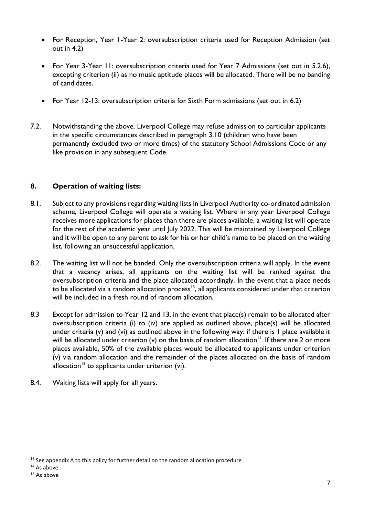- For Reception, Year I-Year 2: oversubscription criteria used for Reception Admission (set out in 4.2)
- For Year 3-Year 11: oversubscription criteria used for Year 7 Admissions (set out in 5.2.6), excepting criterion (ii) as no music aptitude places will be allocated. There will be no banding of candidates.
- For Year 12-13: oversubscription criteria for Sixth Form admissions (set out in 6.2)
- 7.2. Notwithstanding the above, Liverpool College may refuse admission to particular applicants in the specific circumstances described in paragraph 3.10 (children who have been permanently excluded two or more times) of the statutory School Admissions Code or any like provision in any subsequent Code.

#### **8. Operation of waiting lists:**

- 8.1. Subject to any provisions regarding waiting lists in Liverpool Authority co-ordinated admission scheme, Liverpool College will operate a waiting list. Where in any year Liverpool College receives more applications for places than there are places available, a waiting list will operate for the rest of the academic year until July 2022. This will be maintained by Liverpool College and it will be open to any parent to ask for his or her child's name to be placed on the waiting list, following an unsuccessful application.
- 8.2. The waiting list will not be banded. Only the oversubscription criteria will apply. In the event that a vacancy arises, all applicants on the waiting list will be ranked against the oversubscription criteria and the place allocated accordingly. In the event that a place needs to be allocated via a random allocation process<sup>13</sup>, all applicants considered under that criterion will be included in a fresh round of random allocation.
- 8.3 Except for admission to Year 12 and 13, in the event that place(s) remain to be allocated after oversubscription criteria (i) to (iv) are applied as outlined above, place(s) will be allocated under criteria (v) and (vi) as outlined above in the following way: if there is 1 place available it will be allocated under criterion (v) on the basis of random allocation<sup>14</sup>. If there are 2 or more places available, 50% of the available places would be allocated to applicants under criterion (v) via random allocation and the remainder of the places allocated on the basis of random allocation<sup>15</sup> to applicants under criterion (vi).
- 8.4. Waiting lists will apply for all years.

 $13$  See appendix A to this policy for further detail on the random allocation procedure

<sup>14</sup> As above

<sup>&</sup>lt;sup>15</sup> As above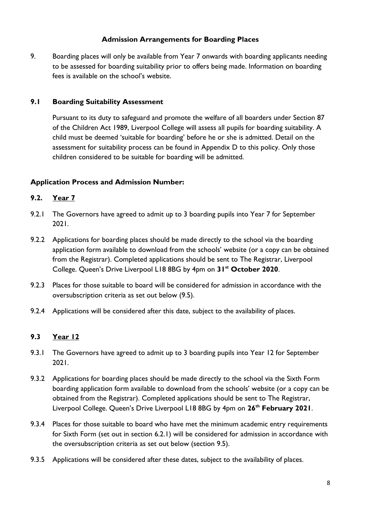#### **Admission Arrangements for Boarding Places**

9. Boarding places will only be available from Year 7 onwards with boarding applicants needing to be assessed for boarding suitability prior to offers being made. Information on boarding fees is available on the school's website.

#### **9.1 Boarding Suitability Assessment**

Pursuant to its duty to safeguard and promote the welfare of all boarders under Section 87 of the Children Act 1989, Liverpool College will assess all pupils for boarding suitability. A child must be deemed 'suitable for boarding' before he or she is admitted. Detail on the assessment for suitability process can be found in Appendix D to this policy. Only those children considered to be suitable for boarding will be admitted.

## **Application Process and Admission Number:**

## **9.2. Year 7**

- 9.2.1 The Governors have agreed to admit up to 3 boarding pupils into Year 7 for September 2021.
- 9.2.2 Applications for boarding places should be made directly to the school via the boarding application form available to download from the schools' website (or a copy can be obtained from the Registrar). Completed applications should be sent to The Registrar, Liverpool College. Queen's Drive Liverpool L18 8BG by 4pm on **31st October 2020**.
- 9.2.3 Places for those suitable to board will be considered for admission in accordance with the oversubscription criteria as set out below (9.5).
- 9.2.4 Applications will be considered after this date, subject to the availability of places.

## **9.3 Year 12**

- 9.3.1 The Governors have agreed to admit up to 3 boarding pupils into Year 12 for September 2021.
- 9.3.2 Applications for boarding places should be made directly to the school via the Sixth Form boarding application form available to download from the schools' website (or a copy can be obtained from the Registrar). Completed applications should be sent to The Registrar, Liverpool College. Queen's Drive Liverpool L18 8BG by 4pm on **26th February 2021**.
- 9.3.4 Places for those suitable to board who have met the minimum academic entry requirements for Sixth Form (set out in section 6.2.1) will be considered for admission in accordance with the oversubscription criteria as set out below (section 9.5).
- 9.3.5 Applications will be considered after these dates, subject to the availability of places.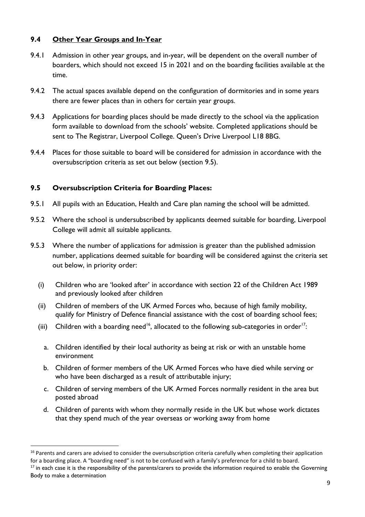#### **9.4 Other Year Groups and In-Year**

- 9.4.1 Admission in other year groups, and in-year, will be dependent on the overall number of boarders, which should not exceed 15 in 2021 and on the boarding facilities available at the time.
- 9.4.2 The actual spaces available depend on the configuration of dormitories and in some years there are fewer places than in others for certain year groups.
- 9.4.3 Applications for boarding places should be made directly to the school via the application form available to download from the schools' website. Completed applications should be sent to The Registrar, Liverpool College. Queen's Drive Liverpool L18 8BG.
- 9.4.4 Places for those suitable to board will be considered for admission in accordance with the oversubscription criteria as set out below (section 9.5).

#### **9.5 Oversubscription Criteria for Boarding Places:**

- 9.5.1 All pupils with an Education, Health and Care plan naming the school will be admitted.
- 9.5.2 Where the school is undersubscribed by applicants deemed suitable for boarding, Liverpool College will admit all suitable applicants.
- 9.5.3 Where the number of applications for admission is greater than the published admission number, applications deemed suitable for boarding will be considered against the criteria set out below, in priority order:
	- (i) Children who are 'looked after' in accordance with section 22 of the Children Act 1989 and previously looked after children
	- (ii) Children of members of the UK Armed Forces who, because of high family mobility, qualify for Ministry of Defence financial assistance with the cost of boarding school fees;
	- (iii) Children with a boarding need<sup>16</sup>, allocated to the following sub-categories in order<sup>17</sup>:
		- a. Children identified by their local authority as being at risk or with an unstable home environment
		- b. Children of former members of the UK Armed Forces who have died while serving or who have been discharged as a result of attributable injury;
		- c. Children of serving members of the UK Armed Forces normally resident in the area but posted abroad
		- d. Children of parents with whom they normally reside in the UK but whose work dictates that they spend much of the year overseas or working away from home

<sup>&</sup>lt;sup>16</sup> Parents and carers are advised to consider the oversubscription criteria carefully when completing their application for a boarding place. A "boarding need" is not to be confused with a family's preference for a child to board.

 $17$  in each case it is the responsibility of the parents/carers to provide the information required to enable the Governing Body to make a determination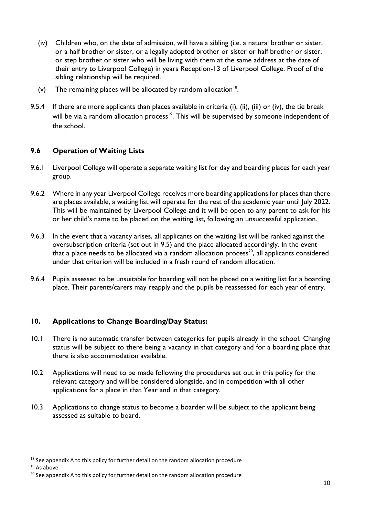- (iv) Children who, on the date of admission, will have a sibling (i.e. a natural brother or sister, or a half brother or sister, or a legally adopted brother or sister or half brother or sister, or step brother or sister who will be living with them at the same address at the date of their entry to Liverpool College) in years Reception-13 of Liverpool College. Proof of the sibling relationship will be required.
- (v) The remaining places will be allocated by random allocation $18$ .
- 9.5.4 If there are more applicants than places available in criteria (i), (ii), (iii) or (iv), the tie break will be via a random allocation process<sup>19</sup>. This will be supervised by someone independent of the school.

#### **9.6 Operation of Waiting Lists**

- 9.6.1 Liverpool College will operate a separate waiting list for day and boarding places for each year group.
- 9.6.2 Where in any year Liverpool College receives more boarding applications for places than there are places available, a waiting list will operate for the rest of the academic year until July 2022. This will be maintained by Liverpool College and it will be open to any parent to ask for his or her child's name to be placed on the waiting list, following an unsuccessful application.
- 9.6.3 In the event that a vacancy arises, all applicants on the waiting list will be ranked against the oversubscription criteria (set out in 9.5) and the place allocated accordingly. In the event that a place needs to be allocated via a random allocation process<sup>20</sup>, all applicants considered under that criterion will be included in a fresh round of random allocation.
- 9.6.4 Pupils assessed to be unsuitable for boarding will not be placed on a waiting list for a boarding place. Their parents/carers may reapply and the pupils be reassessed for each year of entry.

#### **10. Applications to Change Boarding/Day Status:**

- 10.1 There is no automatic transfer between categories for pupils already in the school. Changing status will be subject to there being a vacancy in that category and for a boarding place that there is also accommodation available.
- 10.2 Applications will need to be made following the procedures set out in this policy for the relevant category and will be considered alongside, and in competition with all other applications for a place in that Year and in that category.
- 10.3 Applications to change status to become a boarder will be subject to the applicant being assessed as suitable to board.

 $\overline{a}$  $18$  See appendix A to this policy for further detail on the random allocation procedure

<sup>19</sup> As above

<sup>&</sup>lt;sup>20</sup> See appendix A to this policy for further detail on the random allocation procedure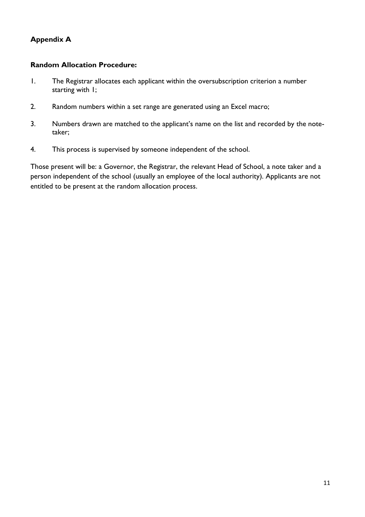# **Appendix A**

#### **Random Allocation Procedure:**

- 1. The Registrar allocates each applicant within the oversubscription criterion a number starting with 1;
- 2. Random numbers within a set range are generated using an Excel macro;
- 3. Numbers drawn are matched to the applicant's name on the list and recorded by the notetaker;
- 4. This process is supervised by someone independent of the school.

Those present will be: a Governor, the Registrar, the relevant Head of School, a note taker and a person independent of the school (usually an employee of the local authority). Applicants are not entitled to be present at the random allocation process.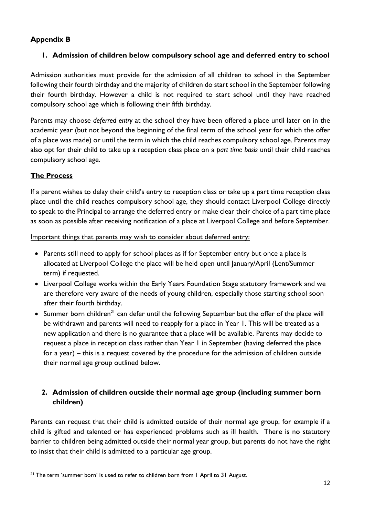# **Appendix B**

# **1. Admission of children below compulsory school age and deferred entry to school**

Admission authorities must provide for the admission of all children to school in the September following their fourth birthday and the majority of children do start school in the September following their fourth birthday. However a child is not required to start school until they have reached compulsory school age which is following their fifth birthday.

Parents may choose *deferred entry* at the school they have been offered a place until later on in the academic year (but not beyond the beginning of the final term of the school year for which the offer of a place was made) or until the term in which the child reaches compulsory school age. Parents may also opt for their child to take up a reception class place on a *part time basis* until their child reaches compulsory school age.

# **The Process**

 $\overline{a}$ 

If a parent wishes to delay their child's entry to reception class or take up a part time reception class place until the child reaches compulsory school age, they should contact Liverpool College directly to speak to the Principal to arrange the deferred entry or make clear their choice of a part time place as soon as possible after receiving notification of a place at Liverpool College and before September.

Important things that parents may wish to consider about deferred entry:

- Parents still need to apply for school places as if for September entry but once a place is allocated at Liverpool College the place will be held open until January/April (Lent/Summer term) if requested.
- Liverpool College works within the Early Years Foundation Stage statutory framework and we are therefore very aware of the needs of young children, especially those starting school soon after their fourth birthday.
- Summer born children<sup>21</sup> can defer until the following September but the offer of the place will be withdrawn and parents will need to reapply for a place in Year 1. This will be treated as a new application and there is no guarantee that a place will be available. Parents may decide to request a place in reception class rather than Year 1 in September (having deferred the place for a year) – this is a request covered by the procedure for the admission of children outside their normal age group outlined below.

# **2. Admission of children outside their normal age group (including summer born children)**

Parents can request that their child is admitted outside of their normal age group, for example if a child is gifted and talented or has experienced problems such as ill health. There is no statutory barrier to children being admitted outside their normal year group, but parents do not have the right to insist that their child is admitted to a particular age group.

<sup>&</sup>lt;sup>21</sup> The term 'summer born' is used to refer to children born from I April to 31 August.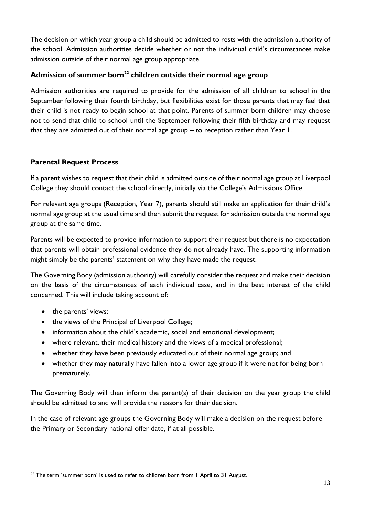The decision on which year group a child should be admitted to rests with the admission authority of the school. Admission authorities decide whether or not the individual child's circumstances make admission outside of their normal age group appropriate.

# **Admission of summer born<sup>22</sup> children outside their normal age group**

Admission authorities are required to provide for the admission of all children to school in the September following their fourth birthday, but flexibilities exist for those parents that may feel that their child is not ready to begin school at that point. Parents of summer born children may choose not to send that child to school until the September following their fifth birthday and may request that they are admitted out of their normal age group – to reception rather than Year 1.

#### **Parental Request Process**

If a parent wishes to request that their child is admitted outside of their normal age group at Liverpool College they should contact the school directly, initially via the College's Admissions Office.

For relevant age groups (Reception, Year 7), parents should still make an application for their child's normal age group at the usual time and then submit the request for admission outside the normal age group at the same time.

Parents will be expected to provide information to support their request but there is no expectation that parents will obtain professional evidence they do not already have. The supporting information might simply be the parents' statement on why they have made the request.

The Governing Body (admission authority) will carefully consider the request and make their decision on the basis of the circumstances of each individual case, and in the best interest of the child concerned. This will include taking account of:

• the parents' views;

 $\overline{a}$ 

- the views of the Principal of Liverpool College;
- information about the child's academic, social and emotional development;
- where relevant, their medical history and the views of a medical professional;
- whether they have been previously educated out of their normal age group; and
- whether they may naturally have fallen into a lower age group if it were not for being born prematurely.

The Governing Body will then inform the parent(s) of their decision on the year group the child should be admitted to and will provide the reasons for their decision.

In the case of relevant age groups the Governing Body will make a decision on the request before the Primary or Secondary national offer date, if at all possible.

<sup>&</sup>lt;sup>22</sup> The term 'summer born' is used to refer to children born from I April to 31 August.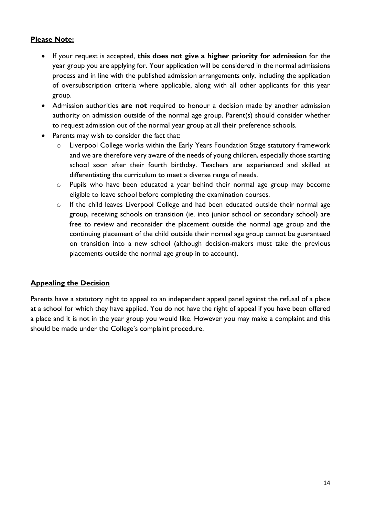## **Please Note:**

- If your request is accepted, **this does not give a higher priority for admission** for the year group you are applying for. Your application will be considered in the normal admissions process and in line with the published admission arrangements only, including the application of oversubscription criteria where applicable, along with all other applicants for this year group.
- Admission authorities **are not** required to honour a decision made by another admission authority on admission outside of the normal age group. Parent(s) should consider whether to request admission out of the normal year group at all their preference schools.
- Parents may wish to consider the fact that:
	- o Liverpool College works within the Early Years Foundation Stage statutory framework and we are therefore very aware of the needs of young children, especially those starting school soon after their fourth birthday. Teachers are experienced and skilled at differentiating the curriculum to meet a diverse range of needs.
	- o Pupils who have been educated a year behind their normal age group may become eligible to leave school before completing the examination courses.
	- o If the child leaves Liverpool College and had been educated outside their normal age group, receiving schools on transition (ie. into junior school or secondary school) are free to review and reconsider the placement outside the normal age group and the continuing placement of the child outside their normal age group cannot be guaranteed on transition into a new school (although decision-makers must take the previous placements outside the normal age group in to account).

## **Appealing the Decision**

Parents have a statutory right to appeal to an independent appeal panel against the refusal of a place at a school for which they have applied. You do not have the right of appeal if you have been offered a place and it is not in the year group you would like. However you may make a complaint and this should be made under the College's complaint procedure.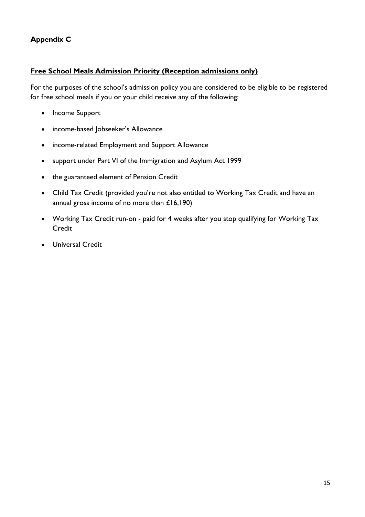# **Appendix C**

## **Free School Meals Admission Priority (Reception admissions only)**

For the purposes of the school's admission policy you are considered to be eligible to be registered for free school meals if you or your child receive any of the following:

- Income Support
- income-based Jobseeker's Allowance
- income-related Employment and Support Allowance
- support under Part VI of the Immigration and Asylum Act 1999
- the guaranteed element of Pension Credit
- Child Tax Credit (provided you're not also entitled to Working Tax Credit and have an annual gross income of no more than £16,190)
- Working Tax Credit run-on paid for 4 weeks after you stop qualifying for Working Tax **Credit**
- Universal Credit